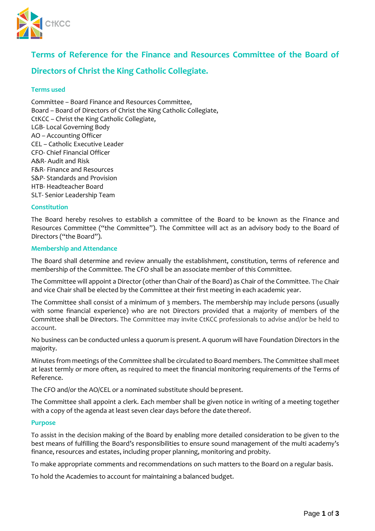

# **Terms of Reference for the Finance and Resources Committee of the Board of**

# **Directors of Christ the King Catholic Collegiate.**

### **Terms used**

Committee – Board Finance and Resources Committee, Board – Board of Directors of Christ the King Catholic Collegiate, CtKCC – Christ the King Catholic Collegiate, LGB- Local Governing Body AO – Accounting Officer CEL – Catholic Executive Leader CFO- Chief Financial Officer A&R- Audit and Risk F&R- Finance and Resources S&P- Standards and Provision HTB- Headteacher Board SLT- Senior Leadership Team

### **Constitution**

The Board hereby resolves to establish a committee of the Board to be known as the Finance and Resources Committee ("the Committee"). The Committee will act as an advisory body to the Board of Directors ("the Board").

#### **Membership and Attendance**

The Board shall determine and review annually the establishment, constitution, terms of reference and membership of the Committee. The CFO shall be an associate member of this Committee.

The Committee will appoint a Director (other than Chair of the Board) as Chair of the Committee. The Chair and vice Chair shall be elected by the Committee at their first meeting in each academic year.

The Committee shall consist of a minimum of 3 members. The membership may include persons (usually with some financial experience) who are not Directors provided that a majority of members of the Committee shall be Directors. The Committee may invite CtKCC professionals to advise and/or be held to account.

No business can be conducted unless a quorum is present. A quorum will have Foundation Directors in the majority.

Minutes from meetings of the Committee shall be circulated to Board members. The Committee shall meet at least termly or more often, as required to meet the financial monitoring requirements of the Terms of Reference.

The CFO and/or the AO/CEL or a nominated substitute should bepresent.

The Committee shall appoint a clerk. Each member shall be given notice in writing of a meeting together with a copy of the agenda at least seven clear days before the date thereof.

#### **Purpose**

To assist in the decision making of the Board by enabling more detailed consideration to be given to the best means of fulfilling the Board's responsibilities to ensure sound management of the multi academy's finance, resources and estates, including proper planning, monitoring and probity.

To make appropriate comments and recommendations on such matters to the Board on a regular basis.

To hold the Academies to account for maintaining a balanced budget.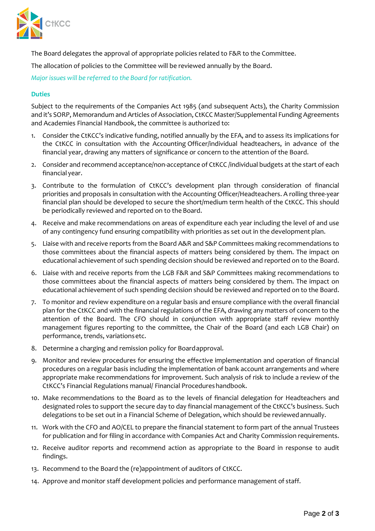

The Board delegates the approval of appropriate policies related to F&R to the Committee.

The allocation of policies to the Committee will be reviewed annually by the Board.

*Major issues will be referred to the Board for ratification.*

## **Duties**

Subject to the requirements of the Companies Act 1985 (and subsequent Acts), the Charity Commission and it's SORP, Memorandum and Articles of Association, CtKCC Master/Supplemental Funding Agreements and Academies Financial Handbook, the committee is authorized to:

- 1. Consider the CtKCC's indicative funding, notified annually by the EFA, and to assess its implications for the CtKCC in consultation with the Accounting Officer/individual headteachers, in advance of the financial year, drawing any matters of significance or concern to the attention of the Board.
- 2. Consider and recommend acceptance/non-acceptance of CtKCC /individual budgets at the start of each financial year.
- 3. Contribute to the formulation of CtKCC's development plan through consideration of financial priorities and proposals in consultation with the Accounting Officer/Headteachers. A rolling three-year financial plan should be developed to secure the short/medium term health of the CtKCC. This should be periodically reviewed and reported on to the Board.
- 4. Receive and make recommendations on areas of expenditure each year including the level of and use of any contingency fund ensuring compatibility with priorities as set out in the development plan.
- 5. Liaise with and receive reports from the Board A&R and S&P Committees making recommendations to those committees about the financial aspects of matters being considered by them. The impact on educational achievement of such spending decision should be reviewed and reported on to the Board.
- 6. Liaise with and receive reports from the LGB F&R and S&P Committees making recommendations to those committees about the financial aspects of matters being considered by them. The impact on educational achievement of such spending decision should be reviewed and reported on to the Board.
- 7. To monitor and review expenditure on a regular basis and ensure compliance with the overall financial plan for the CtKCC and with the financial regulations of the EFA, drawing any matters of concern to the attention of the Board. The CFO should in conjunction with appropriate staff review monthly management figures reporting to the committee, the Chair of the Board (and each LGB Chair) on performance, trends, variationsetc.
- 8. Determine a charging and remission policy for Boardapproval.
- 9. Monitor and review procedures for ensuring the effective implementation and operation of financial procedures on a regular basis including the implementation of bank account arrangements and where appropriate make recommendations for improvement. Such analysis of risk to include a review of the CtKCC's Financial Regulations manual/ Financial Procedureshandbook.
- 10. Make recommendations to the Board as to the levels of financial delegation for Headteachers and designated roles to support the secure day to day financial management of the CtKCC's business. Such delegations to be set out in a Financial Scheme of Delegation, which should be reviewedannually.
- 11. Work with the CFO and AO/CEL to prepare the financial statement to form part of the annual Trustees for publication and for filing in accordance with Companies Act and Charity Commission requirements.
- 12. Receive auditor reports and recommend action as appropriate to the Board in response to audit findings.
- 13. Recommend to the Board the (re)appointment of auditors of CtKCC.
- 14. Approve and monitor staff development policies and performance management of staff.